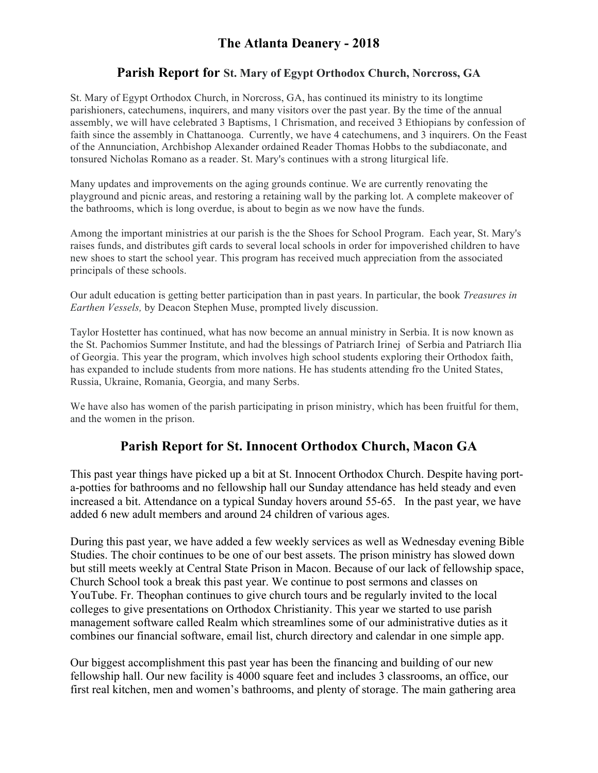# **The Atlanta Deanery - 2018**

## **Parish Report for St. Mary of Egypt Orthodox Church, Norcross, GA**

St. Mary of Egypt Orthodox Church, in Norcross, GA, has continued its ministry to its longtime parishioners, catechumens, inquirers, and many visitors over the past year. By the time of the annual assembly, we will have celebrated 3 Baptisms, 1 Chrismation, and received 3 Ethiopians by confession of faith since the assembly in Chattanooga. Currently, we have 4 catechumens, and 3 inquirers. On the Feast of the Annunciation, Archbishop Alexander ordained Reader Thomas Hobbs to the subdiaconate, and tonsured Nicholas Romano as a reader. St. Mary's continues with a strong liturgical life.

Many updates and improvements on the aging grounds continue. We are currently renovating the playground and picnic areas, and restoring a retaining wall by the parking lot. A complete makeover of the bathrooms, which is long overdue, is about to begin as we now have the funds.

Among the important ministries at our parish is the the Shoes for School Program. Each year, St. Mary's raises funds, and distributes gift cards to several local schools in order for impoverished children to have new shoes to start the school year. This program has received much appreciation from the associated principals of these schools.

Our adult education is getting better participation than in past years. In particular, the book *Treasures in Earthen Vessels,* by Deacon Stephen Muse, prompted lively discussion.

Taylor Hostetter has continued, what has now become an annual ministry in Serbia. It is now known as the St. Pachomios Summer Institute, and had the blessings of Patriarch Irinej of Serbia and Patriarch Ilia of Georgia. This year the program, which involves high school students exploring their Orthodox faith, has expanded to include students from more nations. He has students attending fro the United States, Russia, Ukraine, Romania, Georgia, and many Serbs.

We have also has women of the parish participating in prison ministry, which has been fruitful for them, and the women in the prison.

# **Parish Report for St. Innocent Orthodox Church, Macon GA**

This past year things have picked up a bit at St. Innocent Orthodox Church. Despite having porta-potties for bathrooms and no fellowship hall our Sunday attendance has held steady and even increased a bit. Attendance on a typical Sunday hovers around 55-65. In the past year, we have added 6 new adult members and around 24 children of various ages.

During this past year, we have added a few weekly services as well as Wednesday evening Bible Studies. The choir continues to be one of our best assets. The prison ministry has slowed down but still meets weekly at Central State Prison in Macon. Because of our lack of fellowship space, Church School took a break this past year. We continue to post sermons and classes on YouTube. Fr. Theophan continues to give church tours and be regularly invited to the local colleges to give presentations on Orthodox Christianity. This year we started to use parish management software called Realm which streamlines some of our administrative duties as it combines our financial software, email list, church directory and calendar in one simple app.

Our biggest accomplishment this past year has been the financing and building of our new fellowship hall. Our new facility is 4000 square feet and includes 3 classrooms, an office, our first real kitchen, men and women's bathrooms, and plenty of storage. The main gathering area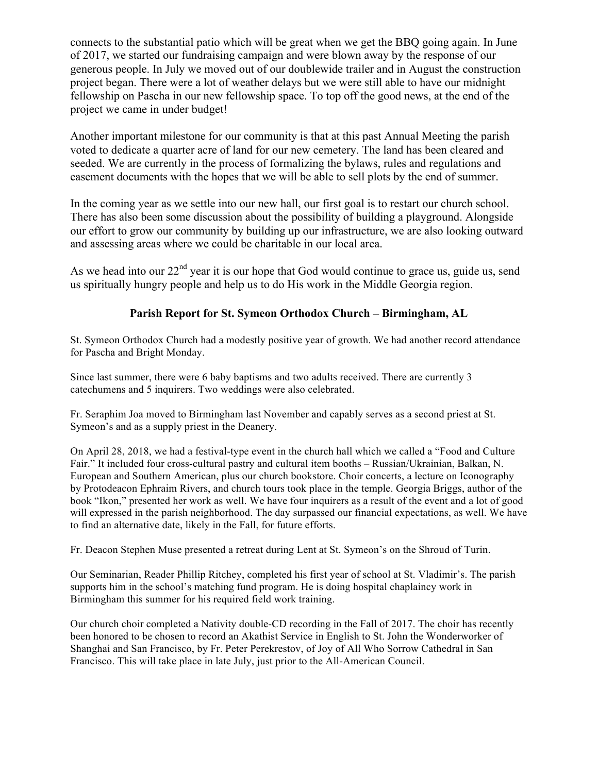connects to the substantial patio which will be great when we get the BBQ going again. In June of 2017, we started our fundraising campaign and were blown away by the response of our generous people. In July we moved out of our doublewide trailer and in August the construction project began. There were a lot of weather delays but we were still able to have our midnight fellowship on Pascha in our new fellowship space. To top off the good news, at the end of the project we came in under budget!

Another important milestone for our community is that at this past Annual Meeting the parish voted to dedicate a quarter acre of land for our new cemetery. The land has been cleared and seeded. We are currently in the process of formalizing the bylaws, rules and regulations and easement documents with the hopes that we will be able to sell plots by the end of summer.

In the coming year as we settle into our new hall, our first goal is to restart our church school. There has also been some discussion about the possibility of building a playground. Alongside our effort to grow our community by building up our infrastructure, we are also looking outward and assessing areas where we could be charitable in our local area.

As we head into our  $22<sup>nd</sup>$  year it is our hope that God would continue to grace us, guide us, send us spiritually hungry people and help us to do His work in the Middle Georgia region.

### **Parish Report for St. Symeon Orthodox Church – Birmingham, AL**

St. Symeon Orthodox Church had a modestly positive year of growth. We had another record attendance for Pascha and Bright Monday.

Since last summer, there were 6 baby baptisms and two adults received. There are currently 3 catechumens and 5 inquirers. Two weddings were also celebrated.

Fr. Seraphim Joa moved to Birmingham last November and capably serves as a second priest at St. Symeon's and as a supply priest in the Deanery.

On April 28, 2018, we had a festival-type event in the church hall which we called a "Food and Culture Fair." It included four cross-cultural pastry and cultural item booths – Russian/Ukrainian, Balkan, N. European and Southern American, plus our church bookstore. Choir concerts, a lecture on Iconography by Protodeacon Ephraim Rivers, and church tours took place in the temple. Georgia Briggs, author of the book "Ikon," presented her work as well. We have four inquirers as a result of the event and a lot of good will expressed in the parish neighborhood. The day surpassed our financial expectations, as well. We have to find an alternative date, likely in the Fall, for future efforts.

Fr. Deacon Stephen Muse presented a retreat during Lent at St. Symeon's on the Shroud of Turin.

Our Seminarian, Reader Phillip Ritchey, completed his first year of school at St. Vladimir's. The parish supports him in the school's matching fund program. He is doing hospital chaplaincy work in Birmingham this summer for his required field work training.

Our church choir completed a Nativity double-CD recording in the Fall of 2017. The choir has recently been honored to be chosen to record an Akathist Service in English to St. John the Wonderworker of Shanghai and San Francisco, by Fr. Peter Perekrestov, of Joy of All Who Sorrow Cathedral in San Francisco. This will take place in late July, just prior to the All-American Council.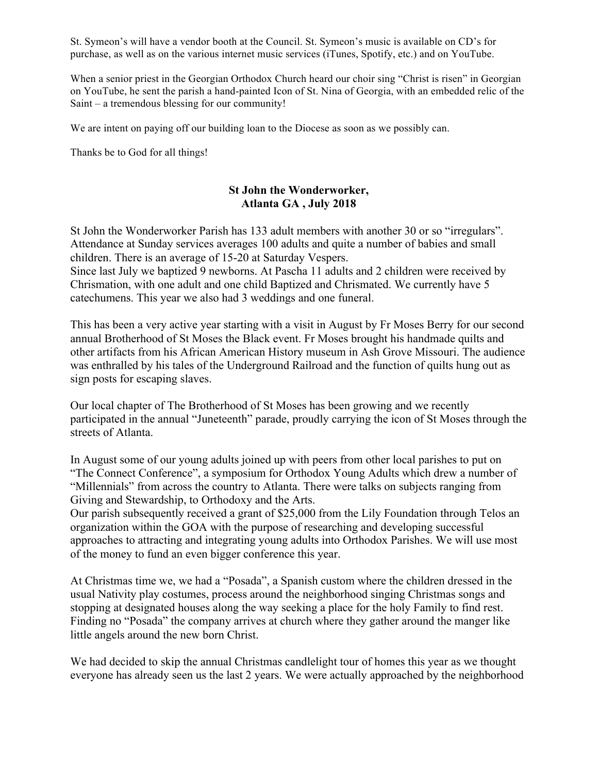St. Symeon's will have a vendor booth at the Council. St. Symeon's music is available on CD's for purchase, as well as on the various internet music services (iTunes, Spotify, etc.) and on YouTube.

When a senior priest in the Georgian Orthodox Church heard our choir sing "Christ is risen" in Georgian on YouTube, he sent the parish a hand-painted Icon of St. Nina of Georgia, with an embedded relic of the Saint – a tremendous blessing for our community!

We are intent on paying off our building loan to the Diocese as soon as we possibly can.

Thanks be to God for all things!

## **St John the Wonderworker, Atlanta GA , July 2018**

St John the Wonderworker Parish has 133 adult members with another 30 or so "irregulars". Attendance at Sunday services averages 100 adults and quite a number of babies and small children. There is an average of 15-20 at Saturday Vespers.

Since last July we baptized 9 newborns. At Pascha 11 adults and 2 children were received by Chrismation, with one adult and one child Baptized and Chrismated. We currently have 5 catechumens. This year we also had 3 weddings and one funeral.

This has been a very active year starting with a visit in August by Fr Moses Berry for our second annual Brotherhood of St Moses the Black event. Fr Moses brought his handmade quilts and other artifacts from his African American History museum in Ash Grove Missouri. The audience was enthralled by his tales of the Underground Railroad and the function of quilts hung out as sign posts for escaping slaves.

Our local chapter of The Brotherhood of St Moses has been growing and we recently participated in the annual "Juneteenth" parade, proudly carrying the icon of St Moses through the streets of Atlanta.

In August some of our young adults joined up with peers from other local parishes to put on "The Connect Conference", a symposium for Orthodox Young Adults which drew a number of "Millennials" from across the country to Atlanta. There were talks on subjects ranging from Giving and Stewardship, to Orthodoxy and the Arts.

Our parish subsequently received a grant of \$25,000 from the Lily Foundation through Telos an organization within the GOA with the purpose of researching and developing successful approaches to attracting and integrating young adults into Orthodox Parishes. We will use most of the money to fund an even bigger conference this year.

At Christmas time we, we had a "Posada", a Spanish custom where the children dressed in the usual Nativity play costumes, process around the neighborhood singing Christmas songs and stopping at designated houses along the way seeking a place for the holy Family to find rest. Finding no "Posada" the company arrives at church where they gather around the manger like little angels around the new born Christ.

We had decided to skip the annual Christmas candlelight tour of homes this year as we thought everyone has already seen us the last 2 years. We were actually approached by the neighborhood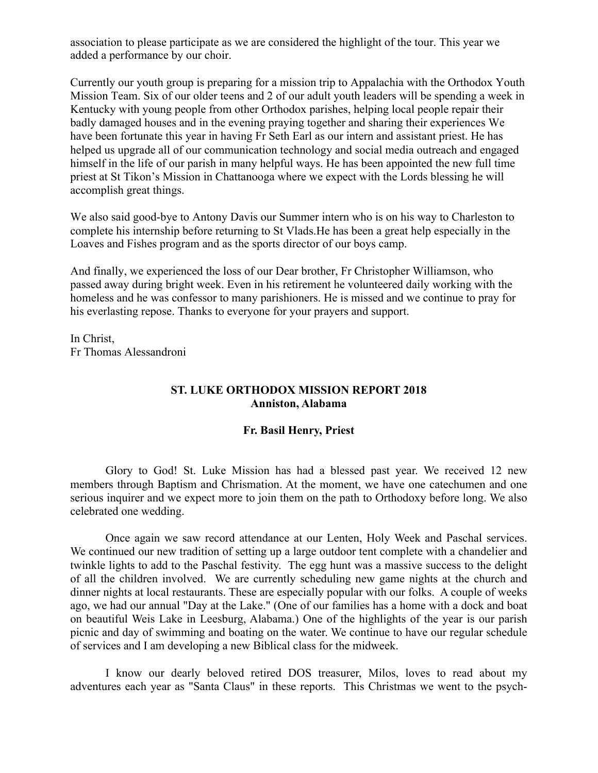association to please participate as we are considered the highlight of the tour. This year we added a performance by our choir.

Currently our youth group is preparing for a mission trip to Appalachia with the Orthodox Youth Mission Team. Six of our older teens and 2 of our adult youth leaders will be spending a week in Kentucky with young people from other Orthodox parishes, helping local people repair their badly damaged houses and in the evening praying together and sharing their experiences We have been fortunate this year in having Fr Seth Earl as our intern and assistant priest. He has helped us upgrade all of our communication technology and social media outreach and engaged himself in the life of our parish in many helpful ways. He has been appointed the new full time priest at St Tikon's Mission in Chattanooga where we expect with the Lords blessing he will accomplish great things.

We also said good-bye to Antony Davis our Summer intern who is on his way to Charleston to complete his internship before returning to St Vlads.He has been a great help especially in the Loaves and Fishes program and as the sports director of our boys camp.

And finally, we experienced the loss of our Dear brother, Fr Christopher Williamson, who passed away during bright week. Even in his retirement he volunteered daily working with the homeless and he was confessor to many parishioners. He is missed and we continue to pray for his everlasting repose. Thanks to everyone for your prayers and support.

In Christ, Fr Thomas Alessandroni

### **ST. LUKE ORTHODOX MISSION REPORT 2018 Anniston, Alabama**

#### **Fr. Basil Henry, Priest**

Glory to God! St. Luke Mission has had a blessed past year. We received 12 new members through Baptism and Chrismation. At the moment, we have one catechumen and one serious inquirer and we expect more to join them on the path to Orthodoxy before long. We also celebrated one wedding.

Once again we saw record attendance at our Lenten, Holy Week and Paschal services. We continued our new tradition of setting up a large outdoor tent complete with a chandelier and twinkle lights to add to the Paschal festivity. The egg hunt was a massive success to the delight of all the children involved. We are currently scheduling new game nights at the church and dinner nights at local restaurants. These are especially popular with our folks. A couple of weeks ago, we had our annual "Day at the Lake." (One of our families has a home with a dock and boat on beautiful Weis Lake in Leesburg, Alabama.) One of the highlights of the year is our parish picnic and day of swimming and boating on the water. We continue to have our regular schedule of services and I am developing a new Biblical class for the midweek.

I know our dearly beloved retired DOS treasurer, Milos, loves to read about my adventures each year as "Santa Claus" in these reports. This Christmas we went to the psych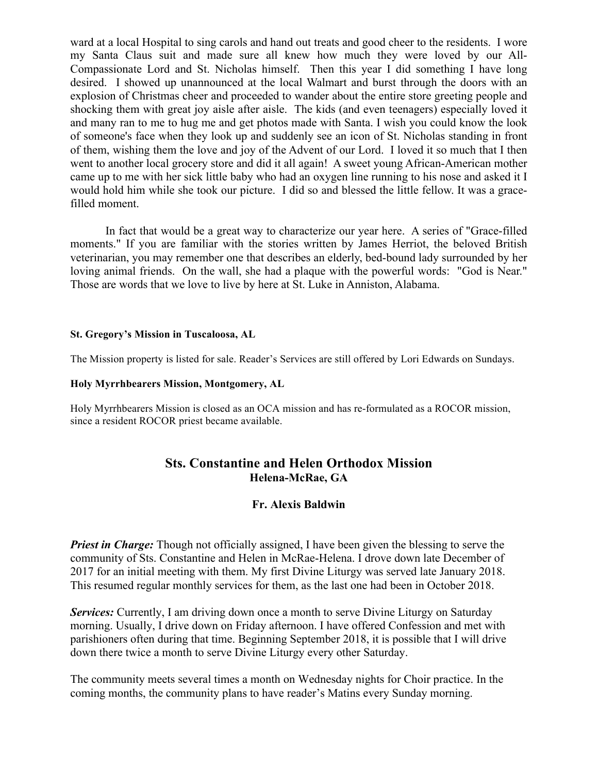ward at a local Hospital to sing carols and hand out treats and good cheer to the residents. I wore my Santa Claus suit and made sure all knew how much they were loved by our All-Compassionate Lord and St. Nicholas himself. Then this year I did something I have long desired. I showed up unannounced at the local Walmart and burst through the doors with an explosion of Christmas cheer and proceeded to wander about the entire store greeting people and shocking them with great joy aisle after aisle. The kids (and even teenagers) especially loved it and many ran to me to hug me and get photos made with Santa. I wish you could know the look of someone's face when they look up and suddenly see an icon of St. Nicholas standing in front of them, wishing them the love and joy of the Advent of our Lord. I loved it so much that I then went to another local grocery store and did it all again! A sweet young African-American mother came up to me with her sick little baby who had an oxygen line running to his nose and asked it I would hold him while she took our picture. I did so and blessed the little fellow. It was a gracefilled moment.

In fact that would be a great way to characterize our year here. A series of "Grace-filled moments." If you are familiar with the stories written by James Herriot, the beloved British veterinarian, you may remember one that describes an elderly, bed-bound lady surrounded by her loving animal friends. On the wall, she had a plaque with the powerful words: "God is Near." Those are words that we love to live by here at St. Luke in Anniston, Alabama.

#### **St. Gregory's Mission in Tuscaloosa, AL**

The Mission property is listed for sale. Reader's Services are still offered by Lori Edwards on Sundays.

#### **Holy Myrrhbearers Mission, Montgomery, AL**

Holy Myrrhbearers Mission is closed as an OCA mission and has re-formulated as a ROCOR mission, since a resident ROCOR priest became available.

## **Sts. Constantine and Helen Orthodox Mission Helena-McRae, GA**

#### **Fr. Alexis Baldwin**

*Priest in Charge:* Though not officially assigned, I have been given the blessing to serve the community of Sts. Constantine and Helen in McRae-Helena. I drove down late December of 2017 for an initial meeting with them. My first Divine Liturgy was served late January 2018. This resumed regular monthly services for them, as the last one had been in October 2018.

**Services:** Currently, I am driving down once a month to serve Divine Liturgy on Saturday morning. Usually, I drive down on Friday afternoon. I have offered Confession and met with parishioners often during that time. Beginning September 2018, it is possible that I will drive down there twice a month to serve Divine Liturgy every other Saturday.

The community meets several times a month on Wednesday nights for Choir practice. In the coming months, the community plans to have reader's Matins every Sunday morning.